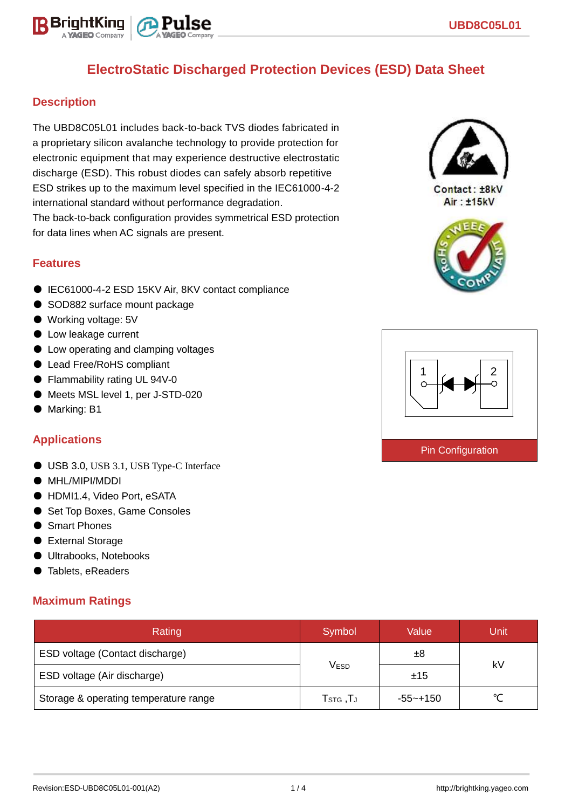

## **Description**

The UBD8C05L01 includes back-to-back TVS diodes fabricated in a proprietary silicon avalanche technology to provide protection for electronic equipment that may experience destructive electrostatic discharge (ESD). This robust diodes can safely absorb repetitive ESD strikes up to the maximum level specified in the IEC61000-4-2 international standard without performance degradation. The back-to-back configuration provides symmetrical ESD protection for data lines when AC signals are present.

### **Features**

- IEC61000-4-2 ESD 15KV Air, 8KV contact compliance
- SOD882 surface mount package
- Working voltage: 5V
- Low leakage current
- Low operating and clamping voltages
- Lead Free/RoHS compliant
- Flammability rating UL 94V-0
- Meets MSL level 1, per J-STD-020
- Marking: B1

## **Applications**

- USB 3.0, USB 3.1, USB Type-C Interface
- MHL/MIPI/MDDI
- HDMI1.4, Video Port, eSATA
- Set Top Boxes, Game Consoles
- Smart Phones
- External Storage
- Ultrabooks, Notebooks
- Tablets, eReaders

## **Maximum Ratings**

| Rating                                | Symbol                                     | Value       | <b>Unit</b> |  |
|---------------------------------------|--------------------------------------------|-------------|-------------|--|
| ESD voltage (Contact discharge)       |                                            | ±8          | kV          |  |
| ESD voltage (Air discharge)           | <b>VESD</b>                                | ±15         |             |  |
| Storage & operating temperature range | ${\sf T}_{\text{STG}}$ , ${\sf T}_{\sf J}$ | $-55$ ~+150 |             |  |



Contact: ±8kV Air: ±15kV



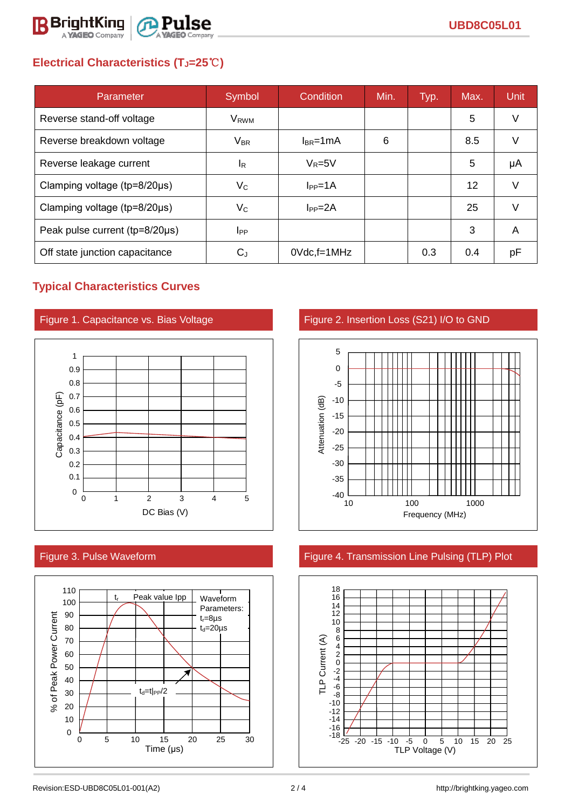

# **Electrical Characteristics (TJ=25**℃**)**

| Parameter                      | Symbol           | Condition          | Min. | Typ. | Max.              | <b>Unit</b> |
|--------------------------------|------------------|--------------------|------|------|-------------------|-------------|
| Reverse stand-off voltage      | V <sub>RWM</sub> |                    |      |      | 5                 | V           |
| Reverse breakdown voltage      | $V_{BR}$         | $I_{BR}$ =1mA      | 6    |      | 8.5               | V           |
| Reverse leakage current        | <sup>I</sup> R   | $V_R = 5V$         |      |      | 5                 | μA          |
| Clamping voltage (tp=8/20µs)   | $V_C$            | $I_{PP} = 1A$      |      |      | $12 \overline{ }$ | V           |
| Clamping voltage (tp=8/20µs)   | Vc               | $IPP=2A$           |      |      | 25                | v           |
| Peak pulse current (tp=8/20µs) | <b>I</b> PP      |                    |      |      | 3                 | A           |
| Off state junction capacitance | C,               | $0Vdc$ , f=1 $MHz$ |      | 0.3  | 0.4               | рF          |

## **Typical Characteristics Curves**







Figure 1. Capacitance vs. Bias Voltage Figure 2. Insertion Loss (S21) I/O to GND



## Figure 3. Pulse Waveform Figure 4. Transmission Line Pulsing (TLP) Plot

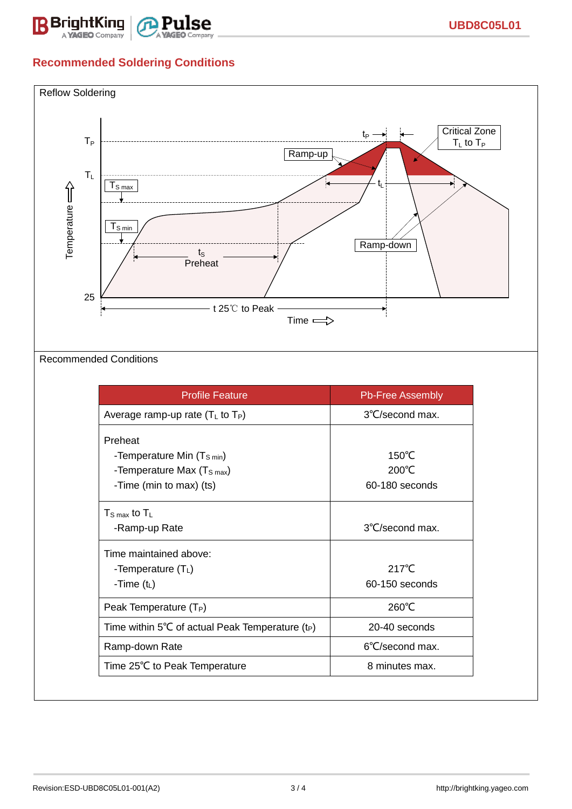

# **Recommended Soldering Conditions**